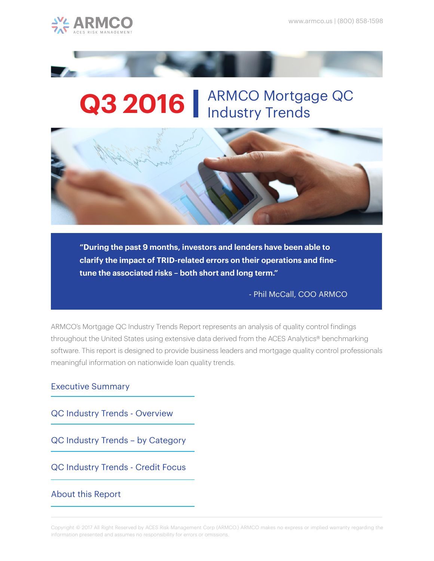



# Q3 2016 | ARMCO Mortgage QC



**"During the past 9 months, investors and lenders have been able to clarify the impact of TRID-related errors on their operations and finetune the associated risks – both short and long term."** 

- Phil McCall, COO ARMCO

ARMCO's Mortgage QC Industry Trends Report represents an analysis of quality control findings throughout the United States using extensive data derived from the ACES Analytics® benchmarking software. This report is designed to provide business leaders and mortgage quality control professionals meaningful information on nationwide loan quality trends.

#### Executive Summary

QC Industry Trends - Overview

QC Industry Trends – by Category

QC Industry Trends - Credit Focus

#### About this Report

Copyright © 2017 All Right Reserved by ACES Risk Management Corp (ARMCO.) ARMCO makes no express or implied warranty regarding the information presented and assumes no responsibility for errors or omissions.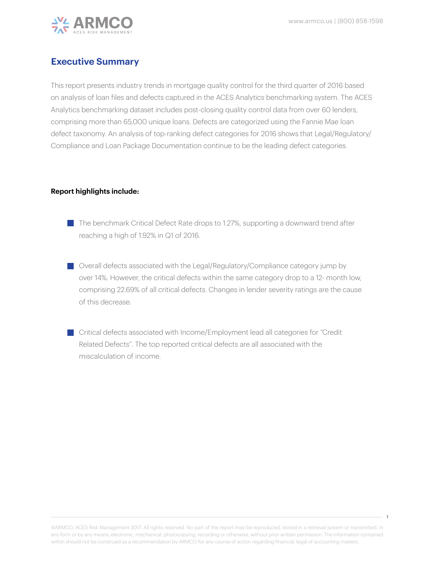

#### **Executive Summary**

This report presents industry trends in mortgage quality control for the third quarter of 2016 based on analysis of loan files and defects captured in the ACES Analytics benchmarking system. The ACES Analytics benchmarking dataset includes post-closing quality control data from over 60 lenders, comprising more than 65,000 unique loans. Defects are categorized using the Fannie Mae loan defect taxonomy. An analysis of top-ranking defect categories for 2016 shows that Legal/Regulatory/ Compliance and Loan Package Documentation continue to be the leading defect categories.

#### **Report highlights include:**

- $\blacksquare$  The benchmark Critical Defect Rate drops to 1.27%, supporting a downward trend after reaching a high of 1.92% in Q1 of 2016.
- Overall defects associated with the Legal/Regulatory/Compliance category jump by over 14%. However, the critical defects within the same category drop to a 12- month low, comprising 22.69% of all critical defects. Changes in lender severity ratings are the cause of this decrease.
- Critical defects associated with Income/Employment lead all categories for "Credit Related Defects". The top reported critical defects are all associated with the miscalculation of income.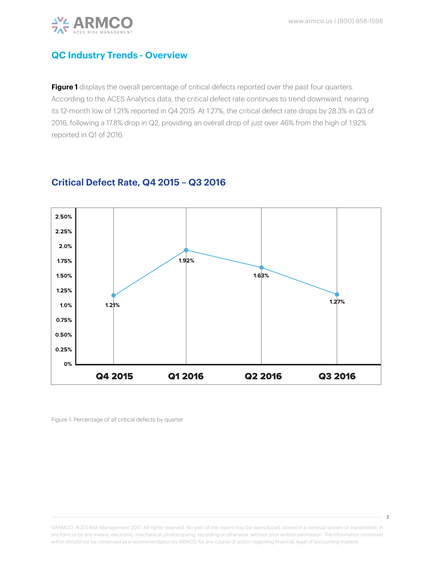

 $\overline{2}$ 



# **QC Industry Trends - Overview**

Figure 1 displays the overall percentage of critical defects reported over the past four quarters. According to the ACES Analytics data, the critical defect rate continues to trend downward, nearing its 12-month low of 1.21% reported in Q4 2015. At 1.27%, the critical defect rate drops by 28.3% in Q3 of 2016, following a 17.8% drop in Q2, providing an overall drop of just over 46% from the high of 1.92% reported in Q1 of 2016.



#### **Critical Defect Rate, Q4 2015 – Q3 2016**

Figure 1: Percentage of all critical defects by quarter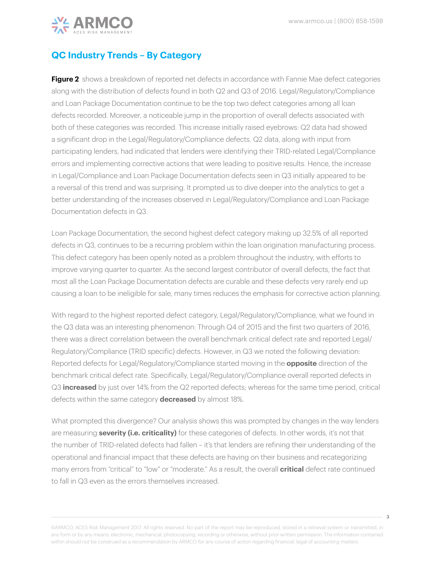

# **QC Industry Trends – By Category**

**Figure 2** shows a breakdown of reported net defects in accordance with Fannie Mae defect categories along with the distribution of defects found in both Q2 and Q3 of 2016. Legal/Regulatory/Compliance and Loan Package Documentation continue to be the top two defect categories among all loan defects recorded. Moreover, a noticeable jump in the proportion of overall defects associated with both of these categories was recorded. This increase initially raised eyebrows: Q2 data had showed a significant drop in the Legal/Regulatory/Compliance defects. Q2 data, along with input from participating lenders, had indicated that lenders were identifying their TRID-related Legal/Compliance errors and implementing corrective actions that were leading to positive results. Hence, the increase in Legal/Compliance and Loan Package Documentation defects seen in Q3 initially appeared to be a reversal of this trend and was surprising. It prompted us to dive deeper into the analytics to get a better understanding of the increases observed in Legal/Regulatory/Compliance and Loan Package Documentation defects in Q3.

Loan Package Documentation, the second highest defect category making up 32.5% of all reported defects in Q3, continues to be a recurring problem within the loan origination manufacturing process. This defect category has been openly noted as a problem throughout the industry, with efforts to improve varying quarter to quarter. As the second largest contributor of overall defects, the fact that most all the Loan Package Documentation defects are curable and these defects very rarely end up causing a loan to be ineligible for sale, many times reduces the emphasis for corrective action planning.

With regard to the highest reported defect category, Legal/Regulatory/Compliance, what we found in the Q3 data was an interesting phenomenon: Through Q4 of 2015 and the first two quarters of 2016, there was a direct correlation between the overall benchmark critical defect rate and reported Legal/ Regulatory/Compliance (TRID specific) defects. However, in Q3 we noted the following deviation: Reported defects for Legal/Regulatory/Compliance started moving in the **opposite** direction of the benchmark critical defect rate. Specifically, Legal/Regulatory/Compliance overall reported defects in Q3 **increased** by just over 14% from the Q2 reported defects; whereas for the same time period, critical defects within the same category **decreased** by almost 18%.

What prompted this divergence? Our analysis shows this was prompted by changes in the way lenders are measuring **severity (i.e. criticality)** for these categories of defects. In other words, it's not that the number of TRID-related defects had fallen – it's that lenders are refining their understanding of the operational and financial impact that these defects are having on their business and recategorizing many errors from "critical" to "low" or "moderate." As a result, the overall **critical** defect rate continued to fall in Q3 even as the errors themselves increased.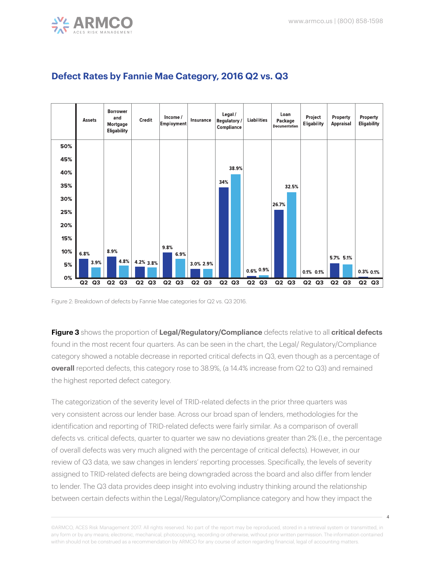



# **Defect Rates by Fannie Mae Category, 2016 Q2 vs. Q3**

Figure 2: Breakdown of defects by Fannie Mae categories for Q2 vs. Q3 2016.

**Figure 3** shows the proportion of **Legal/Regulatory/Compliance** defects relative to all **critical defects** found in the most recent four quarters. As can be seen in the chart, the Legal/ Regulatory/Compliance category showed a notable decrease in reported critical defects in Q3, even though as a percentage of **overall** reported defects, this category rose to 38.9%, (a 14.4% increase from Q2 to Q3) and remained the highest reported defect category.

The categorization of the severity level of TRID-related defects in the prior three quarters was very consistent across our lender base. Across our broad span of lenders, methodologies for the identification and reporting of TRID-related defects were fairly similar. As a comparison of overall defects vs. critical defects, quarter to quarter we saw no deviations greater than 2% (I.e., the percentage of overall defects was very much aligned with the percentage of critical defects). However, in our review of Q3 data, we saw changes in lenders' reporting processes. Specifically, the levels of severity assigned to TRID-related defects are being downgraded across the board and also differ from lender to lender. The Q3 data provides deep insight into evolving industry thinking around the relationship between certain defects within the Legal/Regulatory/Compliance category and how they impact the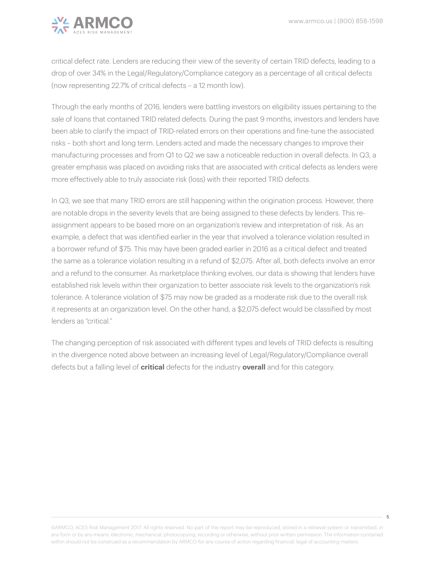

critical defect rate. Lenders are reducing their view of the severity of certain TRID defects, leading to a drop of over 34% in the Legal/Regulatory/Compliance category as a percentage of all critical defects (now representing 22.7% of critical defects – a 12 month low).

Through the early months of 2016, lenders were battling investors on eligibility issues pertaining to the sale of loans that contained TRID related defects. During the past 9 months, investors and lenders have been able to clarify the impact of TRID-related errors on their operations and fine-tune the associated risks – both short and long term. Lenders acted and made the necessary changes to improve their manufacturing processes and from Q1 to Q2 we saw a noticeable reduction in overall defects. In Q3, a greater emphasis was placed on avoiding risks that are associated with critical defects as lenders were more effectively able to truly associate risk (loss) with their reported TRID defects.

In Q3, we see that many TRID errors are still happening within the origination process. However, there are notable drops in the severity levels that are being assigned to these defects by lenders. This reassignment appears to be based more on an organization's review and interpretation of risk. As an example, a defect that was identified earlier in the year that involved a tolerance violation resulted in a borrower refund of \$75. This may have been graded earlier in 2016 as a critical defect and treated the same as a tolerance violation resulting in a refund of \$2,075. After all, both defects involve an error and a refund to the consumer. As marketplace thinking evolves, our data is showing that lenders have established risk levels within their organization to better associate risk levels to the organization's risk tolerance. A tolerance violation of \$75 may now be graded as a moderate risk due to the overall risk it represents at an organization level. On the other hand, a \$2,075 defect would be classified by most lenders as "critical."

The changing perception of risk associated with different types and levels of TRID defects is resulting in the divergence noted above between an increasing level of Legal/Regulatory/Compliance overall defects but a falling level of **critical** defects for the industry **overall** and for this category.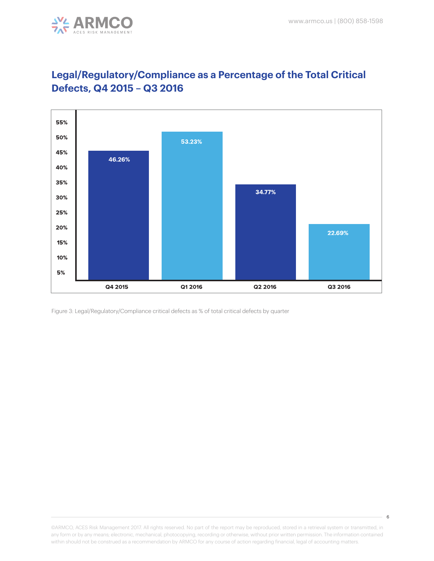



# **Legal/Regulatory/Compliance as a Percentage of the Total Critical Defects, Q4 2015 – Q3 2016**

Figure 3: Legal/Regulatory/Compliance critical defects as % of total critical defects by quarter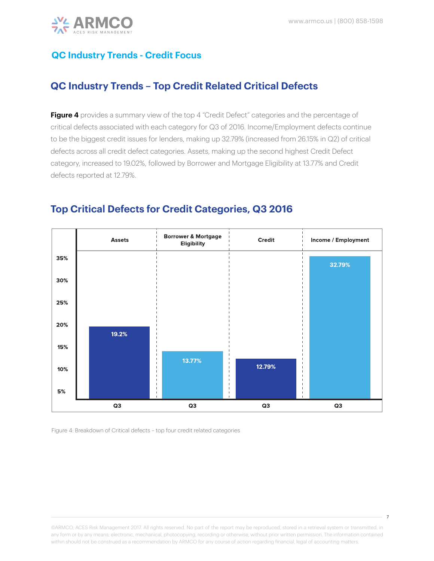

# **QC Industry Trends - Credit Focus**

# **QC Industry Trends – Top Credit Related Critical Defects**

**Figure 4** provides a summary view of the top 4 "Credit Defect" categories and the percentage of critical defects associated with each category for Q3 of 2016. Income/Employment defects continue to be the biggest credit issues for lenders, making up 32.79% (increased from 26.15% in Q2) of critical defects across all credit defect categories. Assets, making up the second highest Credit Defect category, increased to 19.02%, followed by Borrower and Mortgage Eligibility at 13.77% and Credit defects reported at 12.79%.



# **Top Critical Defects for Credit Categories, Q3 2016**

Figure 4: Breakdown of Critical defects – top four credit related categories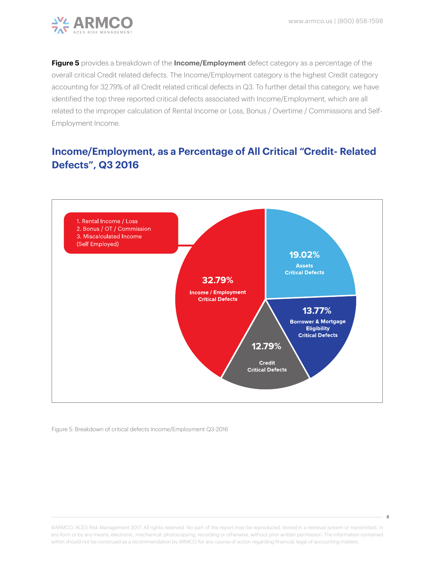

**Figure 5** provides a breakdown of the **Income/Employment** defect category as a percentage of the overall critical Credit related defects. The Income/Employment category is the highest Credit category accounting for 32.79% of all Credit related critical defects in Q3. To further detail this category, we have identified the top three reported critical defects associated with Income/Employment, which are all related to the improper calculation of Rental Income or Loss, Bonus / Overtime / Commissions and Self-Employment Income.

# **Income/Employment, as a Percentage of All Critical "Credit- Related Defects", Q3 2016**



Figure 5: Breakdown of critical defects Income/Employment Q3-2016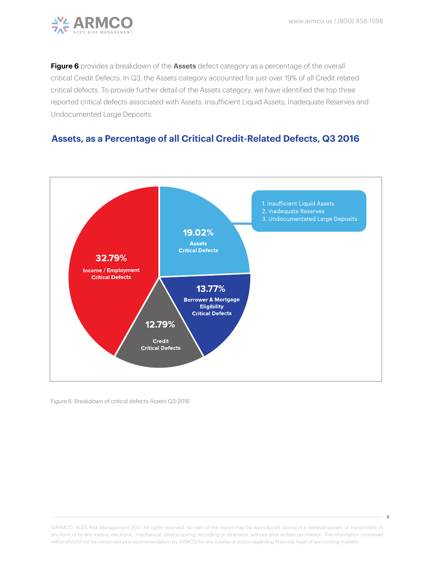

**Figure 6** provides a breakdown of the **Assets** defect category as a percentage of the overall critical Credit Defects. In Q3, the Assets category accounted for just over 19% of all Credit related critical defects. To provide further detail of the Assets category, we have identified the top three reported critical defects associated with Assets: Insufficient Liquid Assets, Inadequate Reserves and Undocumented Large Deposits.

#### **Assets, as a Percentage of all Critical Credit-Related Defects, Q3 2016**



Figure 6: Breakdown of critical defects Assets Q3-2016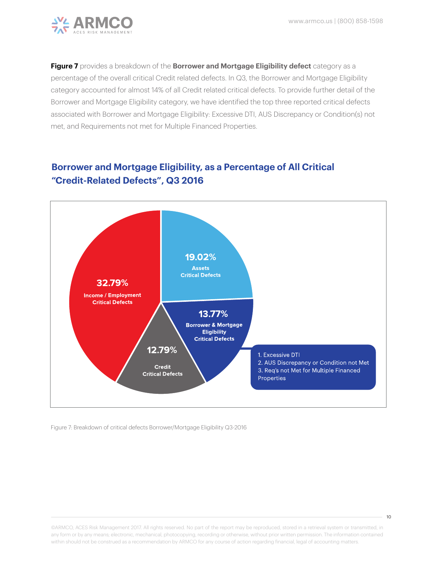

**Figure 7** provides a breakdown of the **Borrower and Mortgage Eligibility defect** category as a percentage of the overall critical Credit related defects. In Q3, the Borrower and Mortgage Eligibility category accounted for almost 14% of all Credit related critical defects. To provide further detail of the Borrower and Mortgage Eligibility category, we have identified the top three reported critical defects associated with Borrower and Mortgage Eligibility: Excessive DTI, AUS Discrepancy or Condition(s) not met, and Requirements not met for Multiple Financed Properties.

# **Borrower and Mortgage Eligibility, as a Percentage of All Critical "Credit-Related Defects", Q3 2016**



Figure 7: Breakdown of critical defects Borrower/Mortgage Eligibility Q3-2016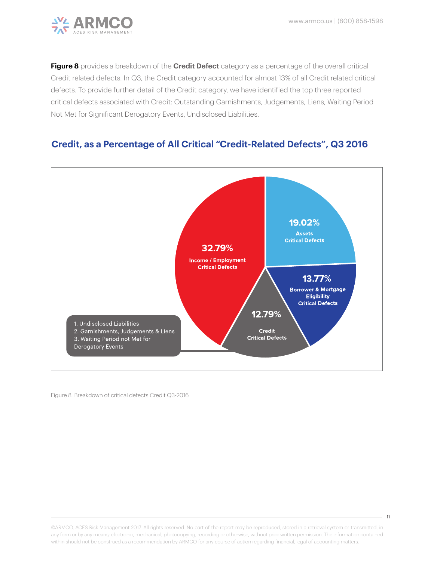

**Figure 8** provides a breakdown of the **Credit Defect** category as a percentage of the overall critical Credit related defects. In Q3, the Credit category accounted for almost 13% of all Credit related critical defects. To provide further detail of the Credit category, we have identified the top three reported critical defects associated with Credit: Outstanding Garnishments, Judgements, Liens, Waiting Period Not Met for Significant Derogatory Events, Undisclosed Liabilities.

## **Credit, as a Percentage of All Critical "Credit-Related Defects", Q3 2016**



Figure 8: Breakdown of critical defects Credit Q3-2016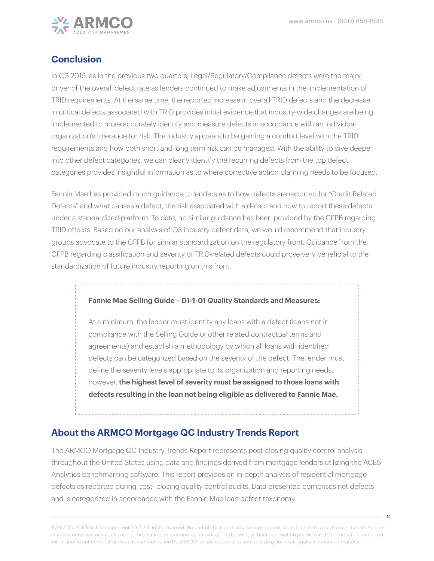

## **Conclusion**

In Q3 2016, as in the previous two quarters, Legal/Regulatory/Compliance defects were the major driver of the overall defect rate as lenders continued to make adjustments in the implementation of TRID requirements. At the same time, the reported increase in overall TRID defects and the decrease in critical defects associated with TRID provides initial evidence that industry-wide changes are being implemented to more accurately identify and measure defects in accordance with an individual organization's tolerance for risk. The industry appears to be gaining a comfort level with the TRID requirements and how both short and long term risk can be managed. With the ability to dive deeper into other defect categories, we can clearly identify the recurring defects from the top defect categories provides insightful information as to where corrective action planning needs to be focused.

Fannie Mae has provided much guidance to lenders as to how defects are reported for "Credit Related Defects" and what causes a defect, the risk associated with a defect and how to report these defects under a standardized platform. To date, no similar guidance has been provided by the CFPB regarding TRID effects. Based on our analysis of Q3 industry defect data, we would recommend that industry groups advocate to the CFPB for similar standardization on the regulatory front. Guidance from the CFPB regarding classification and severity of TRID-related defects could prove very beneficial to the standardization of future industry reporting on this front.

#### **Fannie Mae Selling Guide – D1-1-01 Quality Standards and Measures:**

At a minimum, the lender must identify any loans with a defect (loans not in compliance with the Selling Guide or other related contractual terms and agreements) and establish a methodology by which all loans with identified defects can be categorized based on the severity of the defect. The lender must define the severity levels appropriate to its organization and reporting needs, however, **the highest level of severity must be assigned to those loans with defects resulting in the loan not being eligible as delivered to Fannie Mae.**

#### **About the ARMCO Mortgage QC Industry Trends Report**

The ARMCO Mortgage QC Industry Trends Report represents post-closing quality control analysis throughout the United States using data and findings derived from mortgage lenders utilizing the ACES Analytics benchmarking software. This report provides an in-depth analysis of residential mortgage defects as reported during post- closing quality control audits. Data presented comprises net defects and is categorized in accordance with the Fannie Mae loan defect taxonomy.